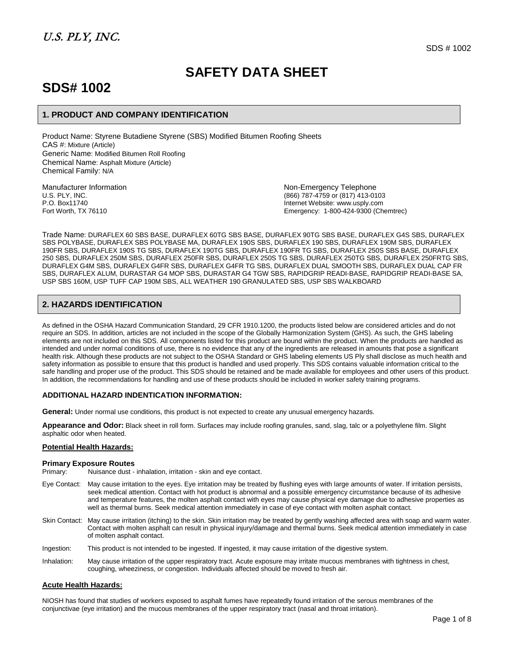# **SAFETY DATA SHEET**

# **SDS# 1002**

### **1. PRODUCT AND COMPANY IDENTIFICATION**

Product Name: Styrene Butadiene Styrene (SBS) Modified Bitumen Roofing Sheets CAS #: Mixture (Article) Generic Name: Modified Bitumen Roll Roofing Chemical Name: Asphalt Mixture (Article) Chemical Family: N/A

Manufacturer Information **Manufacturer Information**<br>U.S. PLY, INC. Non-Emergency Telephone<br>(866) 787-4759 or (817) 413-01 U.S. PLY, INC. (866) 787-4759 or (817) 413-0103 P.O. Box11740<br>
Fort Worth, TX 76110 **Internet Website: www.usply.com**<br>
Emergency: 1-800-424-9300 (Ch Emergency: 1-800-424-9300 (Chemtrec)

Trade Name: DURAFLEX 60 SBS BASE, DURAFLEX 60TG SBS BASE, DURAFLEX 90TG SBS BASE, DURAFLEX G4S SBS, DURAFLEX SBS POLYBASE, DURAFLEX SBS POLYBASE MA, DURAFLEX 190S SBS, DURAFLEX 190 SBS, DURAFLEX 190M SBS, DURAFLEX 190FR SBS, DURAFLEX 190S TG SBS, DURAFLEX 190TG SBS, DURAFLEX 190FR TG SBS, DURAFLEX 250S SBS BASE, DURAFLEX 250 SBS, DURAFLEX 250M SBS, DURAFLEX 250FR SBS, DURAFLEX 250S TG SBS, DURAFLEX 250TG SBS, DURAFLEX 250FRTG SBS, DURAFLEX G4M SBS, DURAFLEX G4FR SBS, DURAFLEX G4FR TG SBS, DURAFLEX DUAL SMOOTH SBS, DURAFLEX DUAL CAP FR SBS, DURAFLEX ALUM, DURASTAR G4 MOP SBS, DURASTAR G4 TGW SBS, RAPIDGRIP READI-BASE, RAPIDGRIP READI-BASE SA, USP SBS 160M, USP TUFF CAP 190M SBS, ALL WEATHER 190 GRANULATED SBS, USP SBS WALKBOARD

### **2. HAZARDS IDENTIFICATION**

As defined in the OSHA Hazard Communication Standard, 29 CFR 1910.1200, the products listed below are considered articles and do not require an SDS. In addition, articles are not included in the scope of the Globally Harmonization System (GHS). As such, the GHS labeling elements are not included on this SDS. All components listed for this product are bound within the product. When the products are handled as intended and under normal conditions of use, there is no evidence that any of the ingredients are released in amounts that pose a significant health risk. Although these products are not subject to the OSHA Standard or GHS labeling elements US Ply shall disclose as much health and safety information as possible to ensure that this product is handled and used properly. This SDS contains valuable information critical to the safe handling and proper use of the product. This SDS should be retained and be made available for employees and other users of this product. In addition, the recommendations for handling and use of these products should be included in worker safety training programs.

### **ADDITIONAL HAZARD INDENTICATION INFORMATION:**

**General:** Under normal use conditions, this product is not expected to create any unusual emergency hazards.

**Appearance and Odor:** Black sheet in roll form. Surfaces may include roofing granules, sand, slag, talc or a polyethylene film. Slight asphaltic odor when heated.

#### **Potential Health Hazards:**

#### **Primary Exposure Routes**

- Primary: Nuisance dust inhalation, irritation skin and eye contact.
- Eye Contact: May cause irritation to the eyes. Eye irritation may be treated by flushing eyes with large amounts of water. If irritation persists, seek medical attention. Contact with hot product is abnormal and a possible emergency circumstance because of its adhesive and temperature features, the molten asphalt contact with eyes may cause physical eye damage due to adhesive properties as well as thermal burns. Seek medical attention immediately in case of eye contact with molten asphalt contact.
- Skin Contact: May cause irritation (itching) to the skin. Skin irritation may be treated by gently washing affected area with soap and warm water. Contact with molten asphalt can result in physical injury/damage and thermal burns. Seek medical attention immediately in case of molten asphalt contact.
- Ingestion: This product is not intended to be ingested. If ingested, it may cause irritation of the digestive system.
- Inhalation: May cause irritation of the upper respiratory tract. Acute exposure may irritate mucous membranes with tightness in chest, coughing, wheeziness, or congestion. Individuals affected should be moved to fresh air.

### **Acute Health Hazards:**

NIOSH has found that studies of workers exposed to asphalt fumes have repeatedly found irritation of the serous membranes of the conjunctivae (eye irritation) and the mucous membranes of the upper respiratory tract (nasal and throat irritation).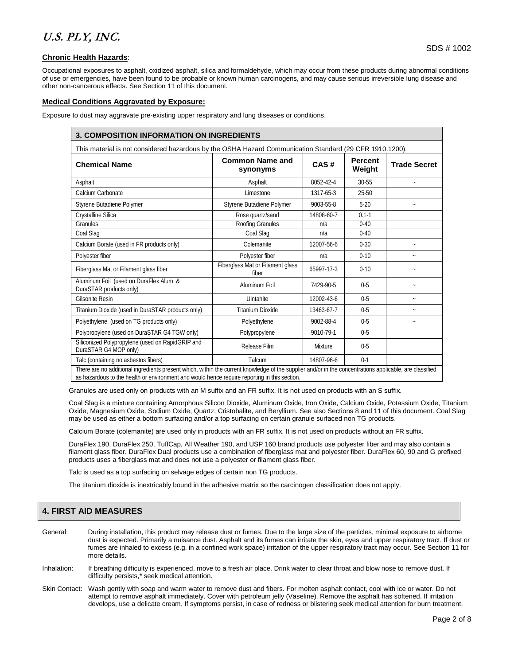### **Chronic Health Hazards**:

Occupational exposures to asphalt, oxidized asphalt, silica and formaldehyde, which may occur from these products during abnormal conditions of use or emergencies, have been found to be probable or known human carcinogens, and may cause serious irreversible lung disease and other non-cancerous effects. See Section 11 of this document.

### **Medical Conditions Aggravated by Exposure:**

Exposure to dust may aggravate pre-existing upper respiratory and lung diseases or conditions.

| This material is not considered hazardous by the OSHA Hazard Communication Standard (29 CFR 1910.1200). |                                           |            |                          |                       |  |  |
|---------------------------------------------------------------------------------------------------------|-------------------------------------------|------------|--------------------------|-----------------------|--|--|
| <b>Chemical Name</b>                                                                                    | <b>Common Name and</b><br>synonyms        | CAS#       | <b>Percent</b><br>Weight | <b>Trade Secret</b>   |  |  |
| Asphalt                                                                                                 | Asphalt                                   | 8052-42-4  | 30-55                    | $\sim$                |  |  |
| Calcium Carbonate                                                                                       | Limestone                                 | 1317-65-3  | 25-50                    |                       |  |  |
| Styrene Butadiene Polymer                                                                               | Styrene Butadiene Polymer                 | 9003-55-8  | $5-20$                   | $\sim$                |  |  |
| Crystalline Silica                                                                                      | Rose quartz/sand                          | 14808-60-7 | $0.1 - 1$                |                       |  |  |
| Granules                                                                                                | Roofing Granules                          | n/a        | $0-40$                   |                       |  |  |
| Coal Slag                                                                                               | Coal Slag                                 | n/a        | $0 - 40$                 |                       |  |  |
| Calcium Borate (used in FR products only)                                                               | Colemanite                                | 12007-56-6 | $0 - 30$                 | $\sim$                |  |  |
| Polyester fiber                                                                                         | Polyester fiber                           | n/a        | $0 - 10$                 |                       |  |  |
| Fiberglass Mat or Filament glass fiber                                                                  | Fiberglass Mat or Filament glass<br>fiber | 65997-17-3 | $0-10$                   |                       |  |  |
| Aluminum Foil (used on DuraFlex Alum &<br>DuraSTAR products only)                                       | Aluminum Foil                             | 7429-90-5  | $0 - 5$                  | $\tilde{\phantom{a}}$ |  |  |
| <b>Gilsonite Resin</b>                                                                                  | Uintahite                                 | 12002-43-6 | $0 - 5$                  | $\sim$                |  |  |
| Titanium Dioxide (used in DuraSTAR products only)                                                       | <b>Titanium Dioxide</b>                   | 13463-67-7 | $0 - 5$                  |                       |  |  |
| Polyethylene (used on TG products only)                                                                 | Polyethylene                              | 9002-88-4  | $0 - 5$                  | $\sim$                |  |  |
| Polypropylene (used on DuraSTAR G4 TGW only)                                                            | Polypropylene                             | 9010-79-1  | $0 - 5$                  |                       |  |  |
| Siliconized Polypropylene (used on RapidGRIP and<br>DuraSTAR G4 MOP only)                               | Release Film                              | Mixture    | $0 - 5$                  |                       |  |  |
| Talc (containing no asbestos fibers)                                                                    | Talcum                                    | 14807-96-6 | $0-1$                    |                       |  |  |

Granules are used only on products with an M suffix and an FR suffix. It is not used on products with an S suffix.

Coal Slag is a mixture containing Amorphous Silicon Dioxide, Aluminum Oxide, Iron Oxide, Calcium Oxide, Potassium Oxide, Titanium Oxide, Magnesium Oxide, Sodium Oxide, Quartz, Cristobalite, and Beryllium. See also Sections 8 and 11 of this document. Coal Slag may be used as either a bottom surfacing and/or a top surfacing on certain granule surfaced non TG products.

Calcium Borate (colemanite) are used only in products with an FR suffix. It is not used on products without an FR suffix.

DuraFlex 190, DuraFlex 250, TuffCap, All Weather 190, and USP 160 brand products use polyester fiber and may also contain a filament glass fiber. DuraFlex Dual products use a combination of fiberglass mat and polyester fiber. DuraFlex 60, 90 and G prefixed products uses a fiberglass mat and does not use a polyester or filament glass fiber.

Talc is used as a top surfacing on selvage edges of certain non TG products.

The titanium dioxide is inextricably bound in the adhesive matrix so the carcinogen classification does not apply.

### **4. FIRST AID MEASURES**

- General: During installation, this product may release dust or fumes. Due to the large size of the particles, minimal exposure to airborne dust is expected. Primarily a nuisance dust. Asphalt and its fumes can irritate the skin, eyes and upper respiratory tract. If dust or fumes are inhaled to excess (e.g. in a confined work space) irritation of the upper respiratory tract may occur. See Section 11 for more details.
- Inhalation: If breathing difficulty is experienced, move to a fresh air place. Drink water to clear throat and blow nose to remove dust. If difficulty persists,\* seek medical attention.
- Skin Contact: Wash gently with soap and warm water to remove dust and fibers. For molten asphalt contact, cool with ice or water. Do not attempt to remove asphalt immediately. Cover with petroleum jelly (Vaseline). Remove the asphalt has softened. If irritation develops, use a delicate cream. If symptoms persist, in case of redness or blistering seek medical attention for burn treatment.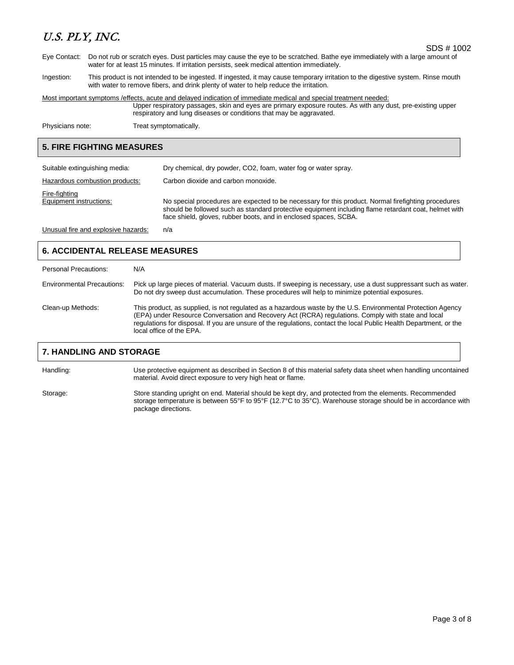SDS # 1002

- Eye Contact: Do not rub or scratch eyes. Dust particles may cause the eye to be scratched. Bathe eye immediately with a large amount of water for at least 15 minutes. If irritation persists, seek medical attention immediately.
- Ingestion: This product is not intended to be ingested. If ingested, it may cause temporary irritation to the digestive system. Rinse mouth with water to remove fibers, and drink plenty of water to help reduce the irritation.

Most important symptoms /effects, acute and delayed indication of immediate medical and special treatment needed:

Upper respiratory passages, skin and eyes are primary exposure routes. As with any dust, pre-existing upper respiratory and lung diseases or conditions that may be aggravated.

Physicians note: Treat symptomatically.

### **5. FIRE FIGHTING MEASURES**

| Suitable extinguishing media:            | Dry chemical, dry powder, CO2, foam, water fog or water spray.                                                                                                                                                                                                                  |
|------------------------------------------|---------------------------------------------------------------------------------------------------------------------------------------------------------------------------------------------------------------------------------------------------------------------------------|
| Hazardous combustion products:           | Carbon dioxide and carbon monoxide.                                                                                                                                                                                                                                             |
| Fire-fighting<br>Equipment instructions: | No special procedures are expected to be necessary for this product. Normal firefighting procedures<br>should be followed such as standard protective equipment including flame retardant coat, helmet with<br>face shield, gloves, rubber boots, and in enclosed spaces, SCBA. |
| Unusual fire and explosive hazards:      | n/a                                                                                                                                                                                                                                                                             |

### **6. ACCIDENTAL RELEASE MEASURES**

| Personal Precautions:             | N/A                                                                                                                                                                                                                                                                                                                                                                  |
|-----------------------------------|----------------------------------------------------------------------------------------------------------------------------------------------------------------------------------------------------------------------------------------------------------------------------------------------------------------------------------------------------------------------|
| <b>Environmental Precautions:</b> | Pick up large pieces of material. Vacuum dusts. If sweeping is necessary, use a dust suppressant such as water.<br>Do not dry sweep dust accumulation. These procedures will help to minimize potential exposures.                                                                                                                                                   |
| Clean-up Methods:                 | This product, as supplied, is not regulated as a hazardous waste by the U.S. Environmental Protection Agency<br>(EPA) under Resource Conversation and Recovery Act (RCRA) regulations. Comply with state and local<br>regulations for disposal. If you are unsure of the regulations, contact the local Public Health Department, or the<br>local office of the EPA. |

### **7. HANDLING AND STORAGE**

Handling: Use protective equipment as described in Section 8 of this material safety data sheet when handling uncontained material. Avoid direct exposure to very high heat or flame.

Storage: Store standing upright on end. Material should be kept dry, and protected from the elements. Recommended storage temperature is between 55°F to 95°F (12.7°C to 35°C). Warehouse storage should be in accordance with package directions.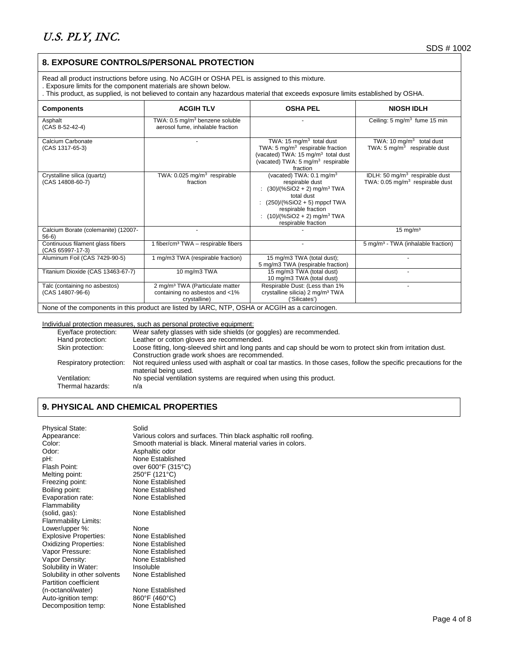### **8. EXPOSURE CONTROLS/PERSONAL PROTECTION**

Read all product instructions before using. No ACGIH or OSHA PEL is assigned to this mixture.

. Exposure limits for the component materials are shown below.

. This product, as supplied, is not believed to contain any hazardous material that exceeds exposure limits established by OSHA.

| <b>Components</b>                                    | <b>ACGIH TLV</b>                                                                              | <b>OSHA PEL</b>                                                                                                                                                                                                                             | <b>NIOSH IDLH</b>                                                               |
|------------------------------------------------------|-----------------------------------------------------------------------------------------------|---------------------------------------------------------------------------------------------------------------------------------------------------------------------------------------------------------------------------------------------|---------------------------------------------------------------------------------|
| Asphalt<br>(CAS 8-52-42-4)                           | TWA: 0.5 mg/m <sup>3</sup> benzene soluble<br>aerosol fume, inhalable fraction                |                                                                                                                                                                                                                                             | Ceiling: 5 mg/m <sup>3</sup> fume 15 min                                        |
| Calcium Carbonate<br>(CAS 1317-65-3)                 |                                                                                               | TWA: 15 mg/m <sup>3</sup> total dust<br>TWA: 5 $mq/m3$ respirable fraction<br>(vacated) TWA: 15 mg/m <sup>3</sup> total dust<br>(vacated) TWA: $5 \text{ mg/m}^3$ respirable<br>fraction                                                    | TWA: 10 mg/m <sup>3</sup> total dust<br>TWA: $5 \text{ mg/m}^3$ respirable dust |
| Crystalline silica (quartz)<br>(CAS 14808-60-7)      | TWA: $0.025$ mg/m <sup>3</sup> respirable<br>fraction                                         | (vacated) TWA: $0.1 \text{ mg/m}^3$<br>respirable dust<br>$(30)/(%SiO2 + 2)$ mg/m <sup>3</sup> TWA<br>total dust<br>$(250)/(%SiO2 + 5)$ mppcf TWA<br>respirable fraction<br>$(10)/(%SiO2 + 2)$ mg/m <sup>3</sup> TWA<br>respirable fraction | IDLH: 50 $mq/m3$ respirable dust<br>TWA: $0.05 \text{ mg/m}^3$ respirable dust  |
| Calcium Borate (colemanite) (12007-<br>$56-6$        |                                                                                               |                                                                                                                                                                                                                                             | $15 \text{ mg/m}^3$                                                             |
| Continuous filament glass fibers<br>(CAS 65997-17-3) | 1 fiber/cm <sup>3</sup> TWA - respirable fibers                                               |                                                                                                                                                                                                                                             | 5 mg/m <sup>3</sup> - TWA (inhalable fraction)                                  |
| Aluminum Foil (CAS 7429-90-5)                        | 1 mg/m3 TWA (respirable fraction)                                                             | 15 mg/m3 TWA (total dust);<br>5 mg/m3 TWA (respirable fraction)                                                                                                                                                                             |                                                                                 |
| Titanium Dioxide (CAS 13463-67-7)                    | 10 mg/m3 TWA                                                                                  | 15 mg/m3 TWA (total dust)<br>10 mg/m3 TWA (total dust)                                                                                                                                                                                      |                                                                                 |
| Talc (containing no asbestos)<br>(CAS 14807-96-6)    | 2 mg/m <sup>3</sup> TWA (Particulate matter<br>containing no asbestos and <1%<br>crystalline) | Respirable Dust: (Less than 1%<br>crystalline silicia) 2 mg/m <sup>3</sup> TWA<br>('Silicates')                                                                                                                                             |                                                                                 |

None of the components in this product are listed by IARC, NTP, OSHA or ACGIH as a carcinogen.

#### Individual protection measures, such as personal protective equipment:

| Eye/face protection:             | Wear safety glasses with side shields (or goggles) are recommended.                                                                        |
|----------------------------------|--------------------------------------------------------------------------------------------------------------------------------------------|
| Hand protection:                 | Leather or cotton gloves are recommended.                                                                                                  |
| Skin protection:                 | Loose fitting, long-sleeved shirt and long pants and cap should be worn to protect skin from irritation dust.                              |
|                                  | Construction grade work shoes are recommended.                                                                                             |
| Respiratory protection:          | Not required unless used with asphalt or coal tar mastics. In those cases, follow the specific precautions for the<br>material being used. |
| Ventilation:<br>Thermal hazards: | No special ventilation systems are required when using this product.<br>n/a                                                                |
|                                  |                                                                                                                                            |

### **9. PHYSICAL AND CHEMICAL PROPERTIES**

| <b>Physical State:</b>       | Solid                                                           |
|------------------------------|-----------------------------------------------------------------|
| Appearance:                  | Various colors and surfaces. Thin black asphaltic roll roofing. |
| Color:                       | Smooth material is black. Mineral material varies in colors.    |
| Odor:                        | Asphaltic odor                                                  |
| pH:                          | None Established                                                |
| Flash Point:                 | over 600°F (315°C)                                              |
| Melting point:               | 250°F (121°C)                                                   |
| Freezing point:              | None Established                                                |
| Boiling point:               | None Established                                                |
| Evaporation rate:            | None Established                                                |
| Flammability                 |                                                                 |
| (solid, gas):                | None Established                                                |
| <b>Flammability Limits:</b>  |                                                                 |
| Lower/upper %:               | None                                                            |
| <b>Explosive Properties:</b> | None Established                                                |
| <b>Oxidizing Properties:</b> | None Established                                                |
| Vapor Pressure:              | None Established                                                |
| Vapor Density:               | None Established                                                |
| Solubility in Water:         | Insoluble                                                       |
| Solubility in other solvents | None Established                                                |
| Partition coefficient        |                                                                 |
| (n-octanol/water)            | None Established                                                |
| Auto-ignition temp:          | $860^{\circ}$ F (460 $^{\circ}$ C)                              |
| Decomposition temp:          | None Established                                                |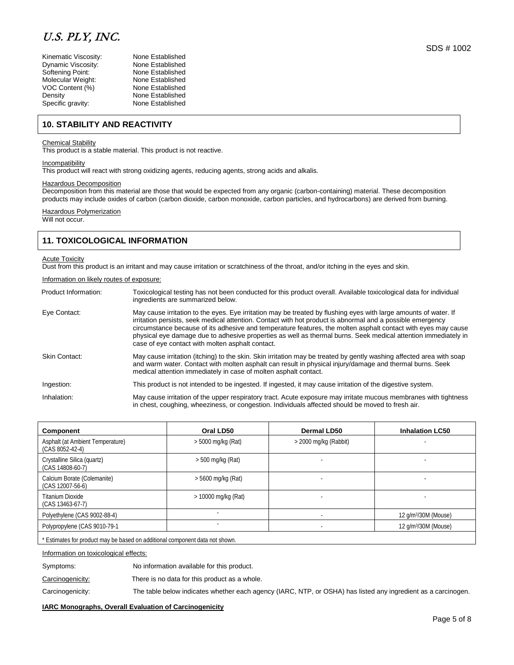| Kinematic Viscosity: | None Established |
|----------------------|------------------|
| Dynamic Viscosity:   | None Established |
| Softening Point:     | None Established |
| Molecular Weight:    | None Established |
| /OC Content (%)      | None Established |
| Density              | None Established |
| Specific gravity:    | None Established |
|                      |                  |

### **10. STABILITY AND REACTIVITY**

### Chemical Stability

This product is a stable material. This product is not reactive.

#### **Incompatibility**

This product will react with strong oxidizing agents, reducing agents, strong acids and alkalis.

#### Hazardous Decomposition

Decomposition from this material are those that would be expected from any organic (carbon-containing) material. These decomposition products may include oxides of carbon (carbon dioxide, carbon monoxide, carbon particles, and hydrocarbons) are derived from burning.

### Hazardous Polymerization

Will not occur.

### **11. TOXICOLOGICAL INFORMATION**

#### **Acute Toxicity**

Dust from this product is an irritant and may cause irritation or scratchiness of the throat, and/or itching in the eyes and skin.

#### Information on likely routes of exposure:

| Product Information: | Toxicological testing has not been conducted for this product overall. Available toxicological data for individual<br>ingredients are summarized below.                                                                                                                                                                                                                                                                                                                                                               |
|----------------------|-----------------------------------------------------------------------------------------------------------------------------------------------------------------------------------------------------------------------------------------------------------------------------------------------------------------------------------------------------------------------------------------------------------------------------------------------------------------------------------------------------------------------|
| Eye Contact:         | May cause irritation to the eyes. Eye irritation may be treated by flushing eyes with large amounts of water. If<br>irritation persists, seek medical attention. Contact with hot product is abnormal and a possible emergency<br>circumstance because of its adhesive and temperature features, the molten asphalt contact with eyes may cause<br>physical eye damage due to adhesive properties as well as thermal burns. Seek medical attention immediately in<br>case of eye contact with molten asphalt contact. |
| Skin Contact:        | May cause irritation (itching) to the skin. Skin irritation may be treated by gently washing affected area with soap<br>and warm water. Contact with molten asphalt can result in physical injury/damage and thermal burns. Seek<br>medical attention immediately in case of molten asphalt contact.                                                                                                                                                                                                                  |
| Ingestion:           | This product is not intended to be ingested. If ingested, it may cause irritation of the digestive system.                                                                                                                                                                                                                                                                                                                                                                                                            |
| Inhalation:          | May cause irritation of the upper respiratory tract. Acute exposure may irritate mucous membranes with tightness<br>in chest, coughing, wheeziness, or congestion. Individuals affected should be moved to fresh air.                                                                                                                                                                                                                                                                                                 |

| Component                                             | Oral LD50            | <b>Dermal LD50</b>      | <b>Inhalation LC50</b>           |
|-------------------------------------------------------|----------------------|-------------------------|----------------------------------|
| Asphalt (at Ambient Temperature)<br>$(CAS 8052-42-4)$ | $>$ 5000 mg/kg (Rat) | $>$ 2000 mg/kg (Rabbit) |                                  |
| Crystalline Silica (quartz)<br>(CAS 14808-60-7)       | $>$ 500 mg/kg (Rat)  |                         |                                  |
| Calcium Borate (Colemanite)<br>(CAS 12007-56-6)       | $> 5600$ mg/kg (Rat) |                         |                                  |
| Titanium Dioxide<br>(CAS 13463-67-7)                  | $>10000$ mg/kg (Rat) |                         |                                  |
| Polyethylene (CAS 9002-88-4)                          |                      |                         | 12 g/m <sup>3</sup> /30M (Mouse) |
| Polypropylene (CAS 9010-79-1                          |                      |                         | 12 g/m <sup>3</sup> /30M (Mouse) |
|                                                       |                      |                         |                                  |

\* Estimates for product may be based on additional component data not shown

#### Information on toxicological effects:

Symptoms: No information available for this product.

Carcinogenicity: There is no data for this product as a whole.

Carcinogenicity: The table below indicates whether each agency (IARC, NTP, or OSHA) has listed any ingredient as a carcinogen.

#### **IARC Monographs, Overall Evaluation of Carcinogenicity**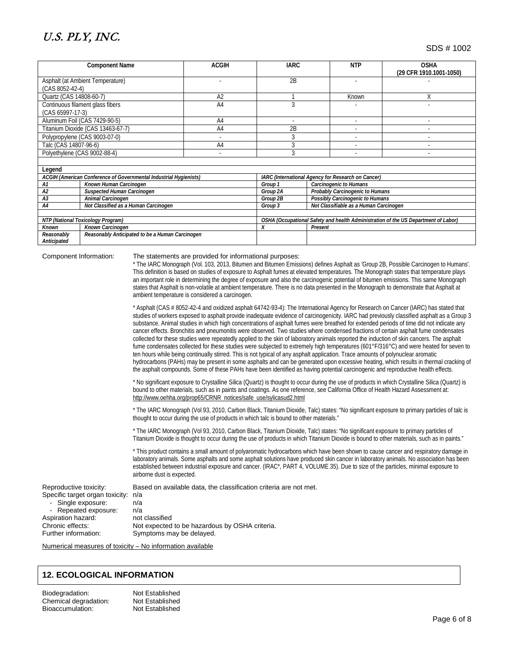SDS # 1002

| <b>Component Name</b>                      |                                                                   | <b>ACGIH</b>                                                                       | <b>IARC</b>                            | <b>NTP</b>                                         | <b>OSHA</b><br>(29 CFR 1910.1001-1050) |  |
|--------------------------------------------|-------------------------------------------------------------------|------------------------------------------------------------------------------------|----------------------------------------|----------------------------------------------------|----------------------------------------|--|
| Asphalt (at Ambient Temperature)           |                                                                   |                                                                                    | 2B                                     |                                                    |                                        |  |
| $(CAS 8052-42-4)$                          |                                                                   |                                                                                    |                                        |                                                    |                                        |  |
|                                            |                                                                   |                                                                                    |                                        |                                                    |                                        |  |
| Quartz (CAS 14808-60-7)                    |                                                                   | A <sub>2</sub>                                                                     |                                        | Known                                              | Χ                                      |  |
|                                            | Continuous filament glass fibers                                  | A <sub>4</sub>                                                                     |                                        |                                                    |                                        |  |
| (CAS 65997-17-3)                           |                                                                   |                                                                                    |                                        |                                                    |                                        |  |
|                                            | Aluminum Foil (CAS 7429-90-5)                                     | A4                                                                                 | ٠                                      |                                                    |                                        |  |
|                                            | Titanium Dioxide (CAS 13463-67-7)                                 | A <sub>4</sub>                                                                     | 2B                                     |                                                    |                                        |  |
|                                            | Polypropylene (CAS 9003-07-0)                                     |                                                                                    |                                        |                                                    |                                        |  |
| Talc (CAS 14807-96-6)<br>A <sub>4</sub>    |                                                                   | 3                                                                                  |                                        |                                                    |                                        |  |
|                                            | Polyethylene (CAS 9002-88-4)                                      |                                                                                    | 3                                      |                                                    |                                        |  |
|                                            |                                                                   |                                                                                    |                                        |                                                    |                                        |  |
| Legend                                     |                                                                   |                                                                                    |                                        |                                                    |                                        |  |
|                                            | ACGIH (American Conference of Governmental Industrial Hygienists) |                                                                                    |                                        | IARC (International Agency for Research on Cancer) |                                        |  |
| A1                                         | Known Human Carcinogen                                            |                                                                                    | Group 1                                | Carcinogenic to Humans                             |                                        |  |
| A2                                         | Suspected Human Carcinogen                                        |                                                                                    | Group 2A                               | Probably Carcinogenic to Humans                    |                                        |  |
| A <sub>3</sub>                             | Animal Carcinogen                                                 |                                                                                    | Group 2B                               | Possibly Carcinogenic to Humans                    |                                        |  |
| Not Classified as a Human Carcinogen<br>A4 |                                                                   | Group 3                                                                            | Not Classifiable as a Human Carcinogen |                                                    |                                        |  |
|                                            |                                                                   |                                                                                    |                                        |                                                    |                                        |  |
| NTP (National Toxicology Program)          |                                                                   | OSHA (Occupational Safety and health Administration of the US Department of Labor) |                                        |                                                    |                                        |  |
| Known                                      | Known Carcinogen                                                  | X                                                                                  | Present                                |                                                    |                                        |  |
| Reasonably                                 | Reasonably Anticipated to be a Human Carcinogen                   |                                                                                    |                                        |                                                    |                                        |  |
| Anticipated                                |                                                                   |                                                                                    |                                        |                                                    |                                        |  |

#### Component Information: The statements are provided for informational purposes:

\* The IARC Monograph (Vol. 103, 2013, Bitumen and Bitumen Emissions) defines Asphalt as 'Group 2B, Possible Carcinogen to Humans'. This definition is based on studies of exposure to Asphalt fumes at elevated temperatures. The Monograph states that temperature plays an important role in determining the degree of exposure and also the carcinogenic potential of bitumen emissions. This same Monograph states that Asphalt is non-volatile at ambient temperature. There is no data presented in the Monograph to demonstrate that Asphalt at ambient temperature is considered a carcinogen.

\* Asphalt (CAS # 8052-42-4 and oxidized asphalt 64742-93-4): The International Agency for Research on Cancer (IARC) has stated that studies of workers exposed to asphalt provide inadequate evidence of carcinogenicity. IARC had previously classified asphalt as a Group 3 substance. Animal studies in which high concentrations of asphalt fumes were breathed for extended periods of time did not indicate any cancer effects. Bronchitis and pneumonitis were observed. Two studies where condensed fractions of certain asphalt fume condensates collected for these studies were repeatedly applied to the skin of laboratory animals reported the induction of skin cancers. The asphalt fume condensates collected for these studies were subjected to extremely high temperatures (601°F/316°C) and were heated for seven to ten hours while being continually stirred. This is not typical of any asphalt application. Trace amounts of polynuclear aromatic hydrocarbons (PAHs) may be present in some asphalts and can be generated upon excessive heating, which results in thermal cracking of the asphalt compounds. Some of these PAHs have been identified as having potential carcinogenic and reproductive health effects.

\* No significant exposure to Crystalline Silica (Quartz) is thought to occur during the use of products in which Crystalline Silica (Quartz) is bound to other materials, such as in paints and coatings. As one reference, see California Office of Health Hazard Assessment at: [http://www.oehha.org/prop65/CRNR\\_notices/safe\\_use/sylicasud2.html](http://www.oehha.org/prop65/CRNR_notices/safe_use/sylicasud2.html)

\* The IARC Monograph (Vol 93, 2010, Carbon Black, Titanium Dioxide, Talc) states: "No significant exposure to primary particles of talc is thought to occur during the use of products in which talc is bound to other materials."

\* The IARC Monograph (Vol 93, 2010, Carbon Black, Titanium Dioxide, Talc) states: "No significant exposure to primary particles of Titanium Dioxide is thought to occur during the use of products in which Titanium Dioxide is bound to other materials, such as in paints."

\* This product contains a small amount of polyaromatic hydrocarbons which have been shown to cause cancer and respiratory damage in laboratory animals. Some asphalts and some asphalt solutions have produced skin cancer in laboratory animals. No association has been established between industrial exposure and cancer. (IRAC\*, PART 4, VOLUME 35). Due to size of the particles, minimal exposure to airborne dust is expected.

Reproductive toxicity: Based on available data, the classification criteria are not met. Specific target organ toxicity: n/a Single exposure: 
n/a<br>
Repeated exposure: 
n/a Repeated exposure: Aspiration hazard: not classified<br>
Chronic effects: Not expected Not expected to be hazardous by OSHA criteria. Further information: Symptoms may be delayed.

Numerical measures of toxicity – No information available

### **12. ECOLOGICAL INFORMATION**

Biodegradation: Not Established Chemical degradation: Bioaccumulation: Not Established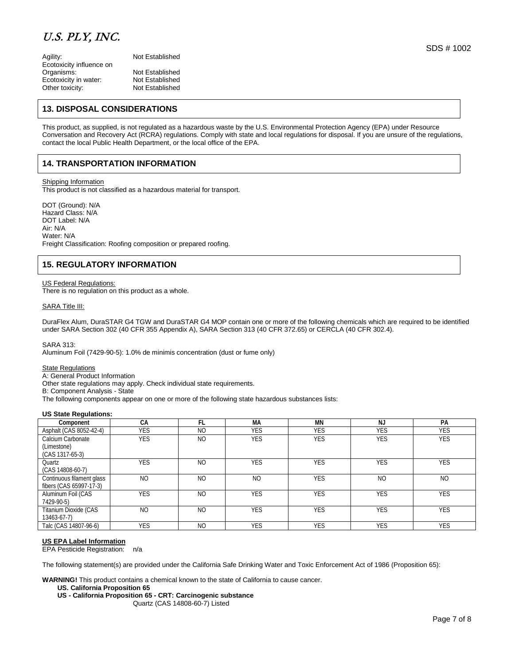Agility: Not Established Ecotoxicity influence on<br>Organisms: Ecotoxicity in water: Not Established<br>
Other toxicity: Not Established Other toxicity:

Not Established<br>Not Established

### **13. DISPOSAL CONSIDERATIONS**

This product, as supplied, is not regulated as a hazardous waste by the U.S. Environmental Protection Agency (EPA) under Resource Conversation and Recovery Act (RCRA) regulations. Comply with state and local regulations for disposal. If you are unsure of the regulations, contact the local Public Health Department, or the local office of the EPA.

### **14. TRANSPORTATION INFORMATION**

Shipping Information

This product is not classified as a hazardous material for transport.

DOT (Ground): N/A Hazard Class: N/A DOT Label: N/A Air: N/A Water: N/A Freight Classification: Roofing composition or prepared roofing.

### **15. REGULATORY INFORMATION**

#### US Federal Regulations:

There is no regulation on this product as a whole.

#### SARA Title III:

DuraFlex Alum, DuraSTAR G4 TGW and DuraSTAR G4 MOP contain one or more of the following chemicals which are required to be identified under SARA Section 302 (40 CFR 355 Appendix A), SARA Section 313 (40 CFR 372.65) or CERCLA (40 CFR 302.4).

SARA 313:

Aluminum Foil (7429-90-5): 1.0% de minimis concentration (dust or fume only)

#### State Regulations

A: General Product Information

Other state regulations may apply. Check individual state requirements.

B: Component Analysis - State

The following components appear on one or more of the following state hazardous substances lists:

### **US State Regulations:**

| Component                                            | CA             | FI.            | МA             | ΜN         | <b>NJ</b>      | PA             |
|------------------------------------------------------|----------------|----------------|----------------|------------|----------------|----------------|
| Asphalt (CAS 8052-42-4)                              | <b>YES</b>     | N <sub>O</sub> | <b>YES</b>     | <b>YES</b> | <b>YES</b>     | <b>YES</b>     |
| Calcium Carbonate<br>(Limestone)<br>(CAS 1317-65-3)  | <b>YES</b>     | N <sub>O</sub> | <b>YES</b>     | <b>YES</b> | <b>YES</b>     | <b>YES</b>     |
| Quartz<br>$(CAS 14808-60-7)$                         | <b>YES</b>     | N <sub>O</sub> | <b>YES</b>     | <b>YES</b> | <b>YES</b>     | YES            |
| Continuous filament glass<br>fibers (CAS 65997-17-3) | N <sub>O</sub> | N <sub>O</sub> | N <sub>O</sub> | <b>YES</b> | N <sub>O</sub> | N <sub>O</sub> |
| Aluminum Foil (CAS<br>7429-90-5)                     | <b>YES</b>     | N <sub>O</sub> | <b>YES</b>     | <b>YES</b> | <b>YES</b>     | <b>YES</b>     |
| Titanium Dioxide (CAS<br>13463-67-7)                 | N <sub>O</sub> | N <sub>O</sub> | <b>YES</b>     | <b>YES</b> | <b>YES</b>     | <b>YES</b>     |
| Talc (CAS 14807-96-6)                                | <b>YES</b>     | N <sub>O</sub> | <b>YES</b>     | <b>YES</b> | <b>YES</b>     | <b>YES</b>     |

#### **US EPA Label Information**

EPA Pesticide Registration: n/a

The following statement(s) are provided under the California Safe Drinking Water and Toxic Enforcement Act of 1986 (Proposition 65):

**WARNING!** This product contains a chemical known to the state of California to cause cancer.

#### **US. California Proposition 65**

**US - California Proposition 65 - CRT: Carcinogenic substance**

Quartz (CAS 14808-60-7) Listed